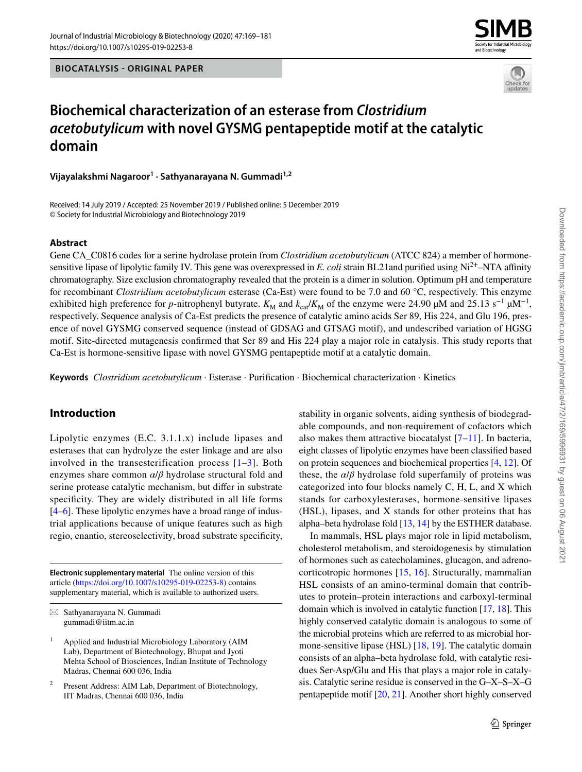



# **Biochemical characterization of an esterase from Clostridium acetobutylicum with novel GYSMG pentapeptide motif at the catalytic domain**

**Vijayalakshmi Nagaroor<sup>1</sup> · Sathyanarayana N. Gummadi1,2**

Received: 14 July 2019 / Accepted: 25 November 2019 / Published online: 5 December 2019 © Society for Industrial Microbiology and Biotechnology 2019

### **Abstract**

Gene CA\_C0816 codes for a serine hydrolase protein from *Clostridium acetobutylicum* (ATCC 824) a member of hormonesensitive lipase of lipolytic family IV. This gene was overexpressed in *E. coli* strain BL21 and purified using Ni<sup>2+</sup>–NTA affinity chromatography. Size exclusion chromatography revealed that the protein is a dimer in solution. Optimum pH and temperature for recombinant *Clostridium acetobutylicum* esterase (Ca-Est) were found to be 7.0 and 60 °C, respectively. This enzyme exhibited high preference for *p*-nitrophenyl butyrate.  $K_M$  and  $k_{cal} / K_M$  of the enzyme were 24.90 µM and 25.13 s<sup>-1</sup> µM<sup>-1</sup>, respectively. Sequence analysis of Ca-Est predicts the presence of catalytic amino acids Ser 89, His 224, and Glu 196, presence of novel GYSMG conserved sequence (instead of GDSAG and GTSAG motif), and undescribed variation of HGSG motif. Site-directed mutagenesis confirmed that Ser 89 and His 224 play a major role in catalysis. This study reports that Ca-Est is hormone-sensitive lipase with novel GYSMG pentapeptide motif at a catalytic domain.

**Keywords** *Clostridium acetobutylicum* · Esterase · Purification · Biochemical characterization · Kinetics

# **Introduction**

Lipolytic enzymes (E.C. 3.1.1.x) include lipases and esterases that can hydrolyze the ester linkage and are also involved in the transesterification process  $[1-3]$  $[1-3]$  $[1-3]$ . Both enzymes share common *α*/*β* hydrolase structural fold and serine protease catalytic mechanism, but differ in substrate specificity. They are widely distributed in all life forms [\[4](#page-10-2)[–6](#page-10-3)]. These lipolytic enzymes have a broad range of industrial applications because of unique features such as high regio, enantio, stereoselectivity, broad substrate specificity,

**Electronic supplementary material** The online version of this article (https://doi.org/10.1007/s10295-019-02253-8) contains supplementary material, which is available to authorized users. stability in organic solvents, aiding synthesis of biodegradable compounds, and non-requirement of cofactors which also makes them attractive biocatalyst  $[7-11]$  $[7-11]$ . In bacteria, eight classes of lipolytic enzymes have been classified based on protein sequences and biochemical properties [[4,](#page-10-2) [12\]](#page-11-0). Of these, the  $\alpha/\beta$  hydrolase fold superfamily of proteins was categorized into four blocks namely C, H, L, and X which stands for carboxylesterases, hormone-sensitive lipases (HSL), lipases, and X stands for other proteins that has alpha–beta hydrolase fold [\[13](#page-11-1), [14\]](#page-11-2) by the ESTHER database.

In mammals, HSL plays major role in lipid metabolism, cholesterol metabolism, and steroidogenesis by stimulation of hormones such as catecholamines, glucagon, and adrenocorticotropic hormones [\[15](#page-11-3), [16](#page-11-4)]. Structurally, mammalian HSL consists of an amino-terminal domain that contributes to protein–protein interactions and carboxyl-terminal domain which is involved in catalytic function [\[17,](#page-11-5) [18\]](#page-11-6). This highly conserved catalytic domain is analogous to some of the microbial proteins which are referred to as microbial hormone-sensitive lipase (HSL) [[18,](#page-11-6) [19\]](#page-11-7). The catalytic domain consists of an alpha–beta hydrolase fold, with catalytic residues Ser-Asp/Glu and His that plays a major role in catalysis. Catalytic serine residue is conserved in the G–X–S–X–G pentapeptide motif [\[20](#page-11-8), [21](#page-11-9)]. Another short highly conserved

 $\boxtimes$  Sathyanarayana N. Gummadi gummadi@iitm.ac.in

<sup>1</sup> Applied and Industrial Microbiology Laboratory (AIM Lab), Department of Biotechnology, Bhupat and Jyoti Mehta School of Biosciences, Indian Institute of Technology Madras, Chennai 600 036, India

<sup>2</sup> Present Address: AIM Lab, Department of Biotechnology, IIT Madras, Chennai 600 036, India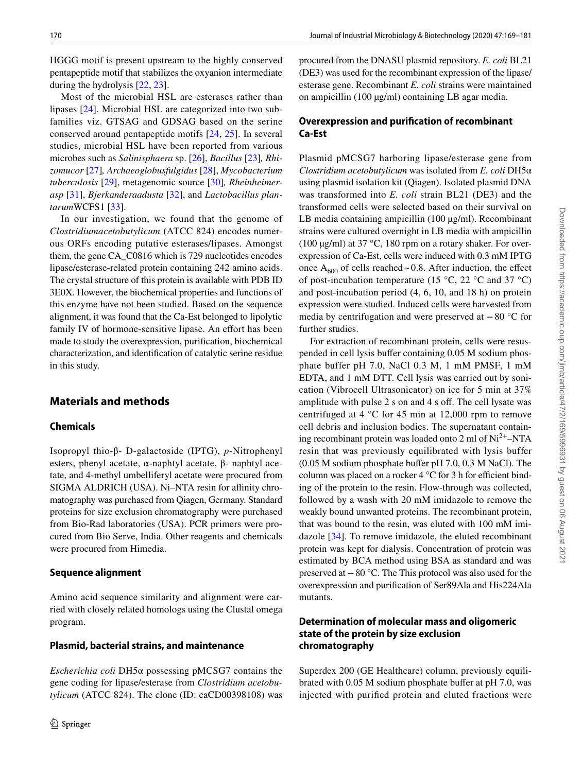HGGG motif is present upstream to the highly conserved pentapeptide motif that stabilizes the oxyanion intermediate during the hydrolysis [\[22](#page-11-10), [23](#page-11-11)].

Most of the microbial HSL are esterases rather than lipases [\[24](#page-11-12)]. Microbial HSL are categorized into two subfamilies viz. GTSAG and GDSAG based on the serine conserved around pentapeptide motifs [\[24,](#page-11-12) [25](#page-11-13)]. In several studies, microbial HSL have been reported from various microbes such as *Salinisphaera* sp. [[26\]](#page-11-14), *Bacillus* [[23\]](#page-11-11)*, Rhizomucor* [\[27](#page-11-15)]*, Archaeoglobusfulgidus* [[28\]](#page-11-16), *Mycobacterium tuberculosis* [[29\]](#page-11-17), metagenomic source [[30\]](#page-11-18)*, Rheinheimerasp* [\[31](#page-11-19)], *Bjerkanderaadusta* [[32\]](#page-11-20), and *Lactobacillus plantarum*WCFS1 [\[33](#page-11-21)].

In our investigation, we found that the genome of *Clostridiumacetobutylicum* (ATCC 824) encodes numerous ORFs encoding putative esterases/lipases. Amongst them, the gene CA\_C0816 which is 729 nucleotides encodes lipase/esterase-related protein containing 242 amino acids. The crystal structure of this protein is available with PDB ID 3E0X. However, the biochemical properties and functions of this enzyme have not been studied. Based on the sequence alignment, it was found that the Ca-Est belonged to lipolytic family IV of hormone-sensitive lipase. An effort has been made to study the overexpression, purification, biochemical characterization, and identification of catalytic serine residue in this study.

### **Materials and methods**

### **Chemicals**

Isopropyl thio-β- D-galactoside (IPTG), *p*-Nitrophenyl esters, phenyl acetate, α-naphtyl acetate, β- naphtyl acetate, and 4-methyl umbelliferyl acetate were procured from SIGMA ALDRICH (USA). Ni–NTA resin for affinity chromatography was purchased from Qiagen, Germany. Standard proteins for size exclusion chromatography were purchased from Bio-Rad laboratories (USA). PCR primers were procured from Bio Serve, India. Other reagents and chemicals were procured from Himedia.

#### **Sequence alignment**

Amino acid sequence similarity and alignment were carried with closely related homologs using the Clustal omega program.

#### **Plasmid, bacterial strains, and maintenance**

*Escherichia coli* DH5α possessing pMCSG7 contains the gene coding for lipase/esterase from *Clostridium acetobutylicum* (ATCC 824). The clone (ID: caCD00398108) was procured from the DNASU plasmid repository. *E. coli* BL21 (DE3) was used for the recombinant expression of the lipase/ esterase gene. Recombinant *E. coli* strains were maintained on ampicillin (100 µg/ml) containing LB agar media.

# **Overexpression and purification of recombinant Ca‑Est**

Plasmid pMCSG7 harboring lipase/esterase gene from *Clostridium acetobutylicum* was isolated from *E. coli* DH5α using plasmid isolation kit (Qiagen). Isolated plasmid DNA was transformed into *E. coli* strain BL21 (DE3) and the transformed cells were selected based on their survival on LB media containing ampicillin (100 µg/ml). Recombinant strains were cultured overnight in LB media with ampicillin (100  $\mu$ g/ml) at 37 °C, 180 rpm on a rotary shaker. For overexpression of Ca-Est, cells were induced with 0.3 mM IPTG once  $A_{600}$  of cells reached ~ 0.8. After induction, the effect of post-incubation temperature (15  $\degree$ C, 22  $\degree$ C and 37  $\degree$ C) and post-incubation period (4, 6, 10, and 18 h) on protein expression were studied. Induced cells were harvested from media by centrifugation and were preserved at − 80 °C for further studies.

For extraction of recombinant protein, cells were resuspended in cell lysis buffer containing 0.05 M sodium phosphate buffer pH 7.0, NaCl 0.3 M, 1 mM PMSF, 1 mM EDTA, and 1 mM DTT. Cell lysis was carried out by sonication (Vibrocell Ultrasonicator) on ice for 5 min at 37% amplitude with pulse 2 s on and 4 s off. The cell lysate was centrifuged at 4 °C for 45 min at 12,000 rpm to remove cell debris and inclusion bodies. The supernatant containing recombinant protein was loaded onto 2 ml of Ni2+–NTA resin that was previously equilibrated with lysis buffer (0.05 M sodium phosphate buffer pH 7.0, 0.3 M NaCl). The column was placed on a rocker 4 °C for 3 h for efficient binding of the protein to the resin. Flow-through was collected, followed by a wash with 20 mM imidazole to remove the weakly bound unwanted proteins. The recombinant protein, that was bound to the resin, was eluted with 100 mM imidazole [[34](#page-11-22)]. To remove imidazole, the eluted recombinant protein was kept for dialysis. Concentration of protein was estimated by BCA method using BSA as standard and was preserved at − 80 °C. The This protocol was also used for the overexpression and purification of Ser89Ala and His224Ala mutants.

### **Determination of molecular mass and oligomeric state of the protein by size exclusion chromatography**

Superdex 200 (GE Healthcare) column, previously equilibrated with 0.05 M sodium phosphate buffer at pH 7.0, was injected with purified protein and eluted fractions were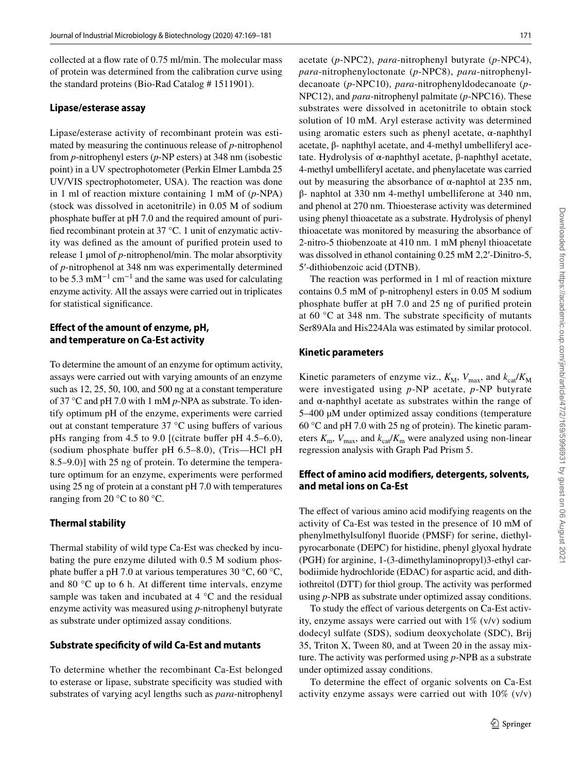collected at a flow rate of 0.75 ml/min. The molecular mass of protein was determined from the calibration curve using the standard proteins (Bio-Rad Catalog # 1511901).

#### **Lipase/esterase assay**

Lipase/esterase activity of recombinant protein was estimated by measuring the continuous release of *p*-nitrophenol from *p*-nitrophenyl esters (*p*-NP esters) at 348 nm (isobestic point) in a UV spectrophotometer (Perkin Elmer Lambda 25 UV/VIS spectrophotometer, USA). The reaction was done in 1 ml of reaction mixture containing 1 mM of (*p*-NPA) (stock was dissolved in acetonitrile) in 0.05 M of sodium phosphate buffer at pH 7.0 and the required amount of purified recombinant protein at 37 °C. 1 unit of enzymatic activity was defined as the amount of purified protein used to release 1 µmol of *p*-nitrophenol/min. The molar absorptivity of *p*-nitrophenol at 348 nm was experimentally determined to be 5.3 mM<sup>-1</sup> cm<sup>-1</sup> and the same was used for calculating enzyme activity. All the assays were carried out in triplicates for statistical significance.

### **Effect of the amount of enzyme, pH, and temperature on Ca‑Est activity**

To determine the amount of an enzyme for optimum activity, assays were carried out with varying amounts of an enzyme such as 12, 25, 50, 100, and 500 ng at a constant temperature of 37 °C and pH 7.0 with 1 mM *p*-NPA as substrate. To identify optimum pH of the enzyme, experiments were carried out at constant temperature 37 °C using buffers of various pHs ranging from 4.5 to 9.0 [(citrate buffer pH 4.5–6.0), (sodium phosphate buffer pH 6.5–8.0), (Tris—HCl pH 8.5–9.0)] with 25 ng of protein. To determine the temperature optimum for an enzyme, experiments were performed using 25 ng of protein at a constant pH 7.0 with temperatures ranging from 20 $\degree$ C to 80 $\degree$ C.

### **Thermal stability**

Thermal stability of wild type Ca-Est was checked by incubating the pure enzyme diluted with 0.5 M sodium phosphate buffer a pH 7.0 at various temperatures 30 °C, 60 °C, and 80 °C up to 6 h. At different time intervals, enzyme sample was taken and incubated at 4 °C and the residual enzyme activity was measured using *p*-nitrophenyl butyrate as substrate under optimized assay conditions.

### **Substrate specificity of wild Ca‑Est and mutants**

To determine whether the recombinant Ca-Est belonged to esterase or lipase, substrate specificity was studied with substrates of varying acyl lengths such as *para*-nitrophenyl acetate (*p*-NPC2), *para*-nitrophenyl butyrate (*p*-NPC4), *para*-nitrophenyloctonate (*p*-NPC8), *para*-nitrophenyldecanoate (*p*-NPC10), *para*-nitrophenyldodecanoate (*p*-NPC12), and *para*-nitrophenyl palmitate (*p*-NPC16). These substrates were dissolved in acetonitrile to obtain stock solution of 10 mM. Aryl esterase activity was determined using aromatic esters such as phenyl acetate,  $α$ -naphthyl acetate, β- naphthyl acetate, and 4-methyl umbelliferyl acetate. Hydrolysis of α-naphthyl acetate, β-naphthyl acetate, 4-methyl umbelliferyl acetate, and phenylacetate was carried out by measuring the absorbance of α-naphtol at 235 nm, β- naphtol at 330 nm 4-methyl umbelliferone at 340 nm, and phenol at 270 nm. Thioesterase activity was determined using phenyl thioacetate as a substrate. Hydrolysis of phenyl thioacetate was monitored by measuring the absorbance of 2-nitro-5 thiobenzoate at 410 nm. 1 mM phenyl thioacetate was dissolved in ethanol containing 0.25 mM 2,2'-Dinitro-5, 5′-dithiobenzoic acid (DTNB).

The reaction was performed in 1 ml of reaction mixture contains 0.5 mM of p-nitrophenyl esters in 0.05 M sodium phosphate buffer at pH 7.0 and 25 ng of purified protein at 60 °C at 348 nm. The substrate specificity of mutants Ser89Ala and His224Ala was estimated by similar protocol.

### **Kinetic parameters**

Kinetic parameters of enzyme viz.,  $K_M$ ,  $V_{\text{max}}$ , and  $k_{\text{cat}}/K_M$ were investigated using *p*-NP acetate, *p*-NP butyrate and  $\alpha$ -naphthyl acetate as substrates within the range of 5–400 µM under optimized assay conditions (temperature 60 °C and pH 7.0 with 25 ng of protein). The kinetic parameters  $K_m$ ,  $V_{\text{max}}$ , and  $k_{\text{cat}}/K_m$  were analyzed using non-linear regression analysis with Graph Pad Prism 5.

### **Effect of amino acid modifiers, detergents, solvents, and metal ions on Ca‑Est**

The effect of various amino acid modifying reagents on the activity of Ca-Est was tested in the presence of 10 mM of phenylmethylsulfonyl fluoride (PMSF) for serine, diethylpyrocarbonate (DEPC) for histidine, phenyl glyoxal hydrate (PGH) for arginine, 1-(3-dimethylaminopropyl)3-ethyl carbodiimide hydrochloride (EDAC) for aspartic acid, and dithiothreitol (DTT) for thiol group. The activity was performed using *p*-NPB as substrate under optimized assay conditions.

To study the effect of various detergents on Ca-Est activity, enzyme assays were carried out with 1% (v/v) sodium dodecyl sulfate (SDS), sodium deoxycholate (SDC), Brij 35, Triton X, Tween 80, and at Tween 20 in the assay mixture. The activity was performed using *p*-NPB as a substrate under optimized assay conditions.

To determine the effect of organic solvents on Ca-Est activity enzyme assays were carried out with 10% (v/v)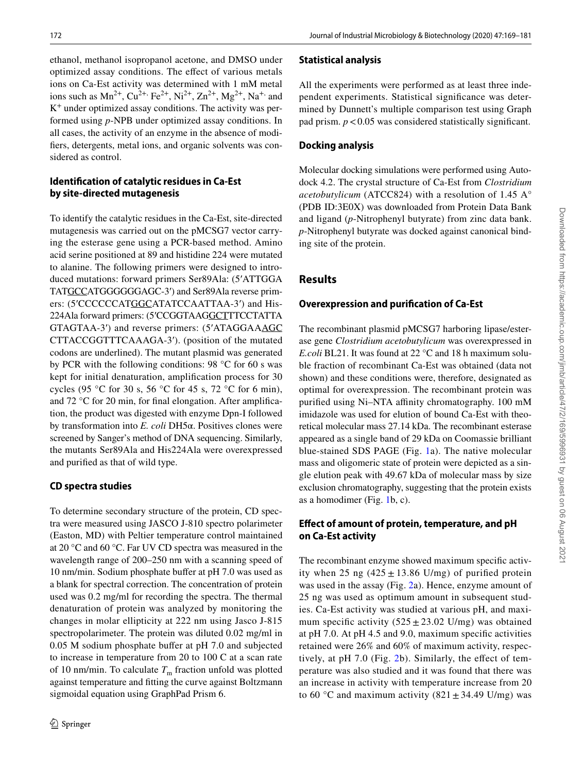172 Journal of Industrial Microbiology & Biotechnology (2020) 47:169–181

ethanol, methanol isopropanol acetone, and DMSO under optimized assay conditions. The effect of various metals ions on Ca-Est activity was determined with 1 mM metal ions such as  $Mn^{2+}$ ,  $Cu^{2+}$ ,  $Fe^{2+}$ ,  $Ni^{2+}$ ,  $Zn^{2+}$ ,  $Mg^{2+}$ , Na<sup>+,</sup> and K + under optimized assay conditions. The activity was performed using *p*-NPB under optimized assay conditions. In all cases, the activity of an enzyme in the absence of modifiers, detergents, metal ions, and organic solvents was considered as control.

# **Identification of catalytic residues in Ca‑Est by site‑directed mutagenesis**

To identify the catalytic residues in the Ca-Est, site-directed mutagenesis was carried out on the pMCSG7 vector carrying the esterase gene using a PCR-based method. Amino acid serine positioned at 89 and histidine 224 were mutated to alanine. The following primers were designed to introduced mutations: forward primers Ser89Ala: (5'ATTGGA TATGCCATGGGGGGAGC-3') and Ser89Ala reverse primers: (5'CCCCCCATGGCATATCCAATTAA-3') and His-224Ala forward primers: (5'CCGGTAAGGCTTTCCTATTA GTAGTAA-3') and reverse primers: (5'ATAGGAAAGC CTTACCGGTTTCAAAGA-3'). (position of the mutated codons are underlined). The mutant plasmid was generated by PCR with the following conditions: 98 °C for 60 s was kept for initial denaturation, amplification process for 30 cycles (95 °C for 30 s, 56 °C for 45 s, 72 °C for 6 min), and 72 °C for 20 min, for final elongation. After amplification, the product was digested with enzyme Dpn-I followed by transformation into *E. coli* DH5α. Positives clones were screened by Sanger's method of DNA sequencing. Similarly, the mutants Ser89Ala and His224Ala were overexpressed and purified as that of wild type.

# **CD spectra studies**

To determine secondary structure of the protein, CD spectra were measured using JASCO J-810 spectro polarimeter (Easton, MD) with Peltier temperature control maintained at 20 °C and 60 °C. Far UV CD spectra was measured in the wavelength range of 200–250 nm with a scanning speed of 10 nm/min. Sodium phosphate buffer at pH 7.0 was used as a blank for spectral correction. The concentration of protein used was 0.2 mg/ml for recording the spectra. The thermal denaturation of protein was analyzed by monitoring the changes in molar ellipticity at 222 nm using Jasco J-815 spectropolarimeter. The protein was diluted 0.02 mg/ml in 0.05 M sodium phosphate buffer at pH 7.0 and subjected to increase in temperature from 20 to 100 C at a scan rate of 10 nm/min. To calculate  $T<sub>m</sub>$  fraction unfold was plotted against temperature and fitting the curve against Boltzmann sigmoidal equation using GraphPad Prism 6.

# **Statistical analysis**

All the experiments were performed as at least three independent experiments. Statistical significance was determined by Dunnett's multiple comparison test using Graph pad prism. *p* < 0.05 was considered statistically significant.

# **Docking analysis**

Molecular docking simulations were performed using Autodock 4.2. The crystal structure of Ca-Est from *Clostridium acetobutylicum* (ATCC824) with a resolution of 1.45 A° (PDB ID:3E0X) was downloaded from Protein Data Bank and ligand (*p*-Nitrophenyl butyrate) from zinc data bank. *p*-Nitrophenyl butyrate was docked against canonical binding site of the protein.

# **Results**

# **Overexpression and purification of Ca‑Est**

The recombinant plasmid pMCSG7 harboring lipase/esterase gene *Clostridium acetobutylicum* was overexpressed in *E.coli* BL21. It was found at 22 °C and 18 h maximum soluble fraction of recombinant Ca-Est was obtained (data not shown) and these conditions were, therefore, designated as optimal for overexpression. The recombinant protein was purified using Ni–NTA affinity chromatography. 100 mM imidazole was used for elution of bound Ca-Est with theoretical molecular mass 27.14 kDa. The recombinant esterase appeared as a single band of 29 kDa on Coomassie brilliant blue-stained SDS PAGE (Fig. [1a](#page-4-0)). The native molecular mass and oligomeric state of protein were depicted as a single elution peak with 49.67 kDa of molecular mass by size exclusion chromatography, suggesting that the protein exists as a homodimer (Fig. [1b](#page-4-0), c).

# **Effect of amount of protein, temperature, and pH on Ca‑Est activity**

The recombinant enzyme showed maximum specific activity when 25 ng  $(425 \pm 13.86 \text{ U/mg})$  of purified protein was used in the assay (Fig. [2](#page-4-1)a). Hence, enzyme amount of 25 ng was used as optimum amount in subsequent studies. Ca-Est activity was studied at various pH, and maximum specific activity  $(525 \pm 23.02 \text{ U/mg})$  was obtained at pH 7.0. At pH 4.5 and 9.0, maximum specific activities retained were 26% and 60% of maximum activity, respectively, at pH 7.0 (Fig. [2](#page-4-1)b). Similarly, the effect of temperature was also studied and it was found that there was an increase in activity with temperature increase from 20 to 60 °C and maximum activity (821  $\pm$  34.49 U/mg) was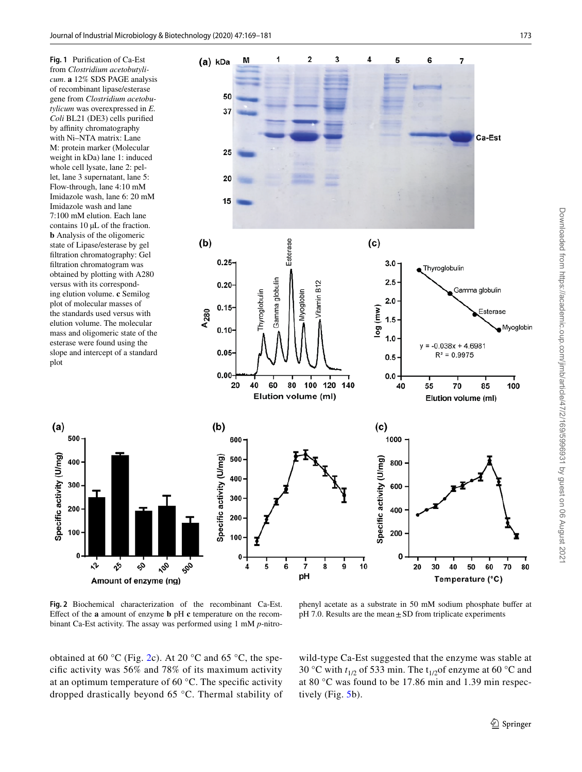from *Clostridium acetobutylicum*. **a** 12% SDS PAGE analysis of recombinant lipase/esterase gene from *Clostridium acetobutylicum* was overexpressed in *E. Coli* BL21 (DE3) cells purified by affinity chromatography with Ni–NTA matrix: Lane M: protein marker (Molecular weight in kDa) lane 1: induced whole cell lysate, lane 2: pellet, lane 3 supernatant, lane 5: Flow-through, lane 4:10 mM Imidazole wash, lane 6: 20 mM Imidazole wash and lane 7:100 mM elution. Each lane contains 10 µL of the fraction. **b** Analysis of the oligomeric state of Lipase/esterase by gel filtration chromatography: Gel filtration chromatogram was obtained by plotting with A280 versus with its corresponding elution volume. **c** Semilog plot of molecular masses of the standards used versus with elution volume. The molecular mass and oligomeric state of the esterase were found using the slope and intercept of a standard plot

 $(a)$ 

Specific activity (U/mg)

500

400

300

200

100

 $\mathfrak{a}$ 

<span id="page-4-0"></span>

<span id="page-4-1"></span>**Fig. 2** Biochemical characterization of the recombinant Ca-Est. Effect of the **a** amount of enzyme **b** pH **c** temperature on the recombinant Ca-Est activity. The assay was performed using 1 mM *p*-nitro-

phenyl acetate as a substrate in 50 mM sodium phosphate buffer at  $pH$  7.0. Results are the mean  $\pm$  SD from triplicate experiments

obtained at 60 °C (Fig. [2](#page-4-1)c). At 20 °C and 65 °C, the specific activity was 56% and 78% of its maximum activity at an optimum temperature of 60 °C. The specific activity dropped drastically beyond 65 °C. Thermal stability of wild-type Ca-Est suggested that the enzyme was stable at 30 °C with  $t_{1/2}$  of 533 min. The  $t_{1/2}$  of enzyme at 60 °C and at 80 °C was found to be 17.86 min and 1.39 min respectively (Fig. [5](#page-7-0)b).

Downloaded from https://academic.oup.com/jimb/article/47/2/169/5996931 by guest on 06 August 2021

Downloaded from https://academic.oup.com/jimb/article/47/2/169/5996931 by guest on 06 August 202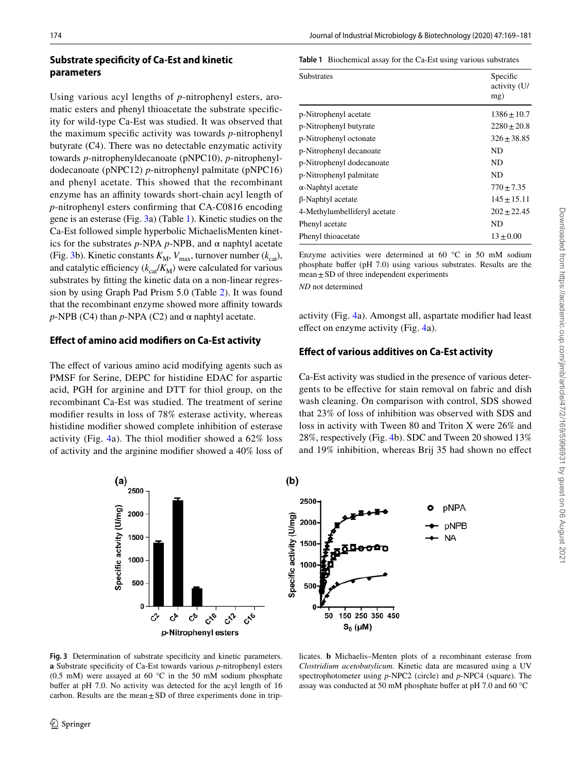# **Substrate specificity of Ca‑Est and kinetic parameters**

Using various acyl lengths of *p*-nitrophenyl esters, aromatic esters and phenyl thioacetate the substrate specificity for wild-type Ca-Est was studied. It was observed that the maximum specific activity was towards *p*-nitrophenyl butyrate (C4). There was no detectable enzymatic activity towards *p*-nitrophenyldecanoate (pNPC10), *p*-nitrophenyldodecanoate (pNPC12) *p*-nitrophenyl palmitate (pNPC16) and phenyl acetate. This showed that the recombinant enzyme has an affinity towards short-chain acyl length of *p*-nitrophenyl esters confirming that CA-C0816 encoding gene is an esterase (Fig. [3](#page-5-0)a) (Table [1](#page-5-1)). Kinetic studies on the Ca-Est followed simple hyperbolic MichaelisMenten kinetics for the substrates *p*-NPA *p*-NPB, and α naphtyl acetate (Fig. [3b](#page-5-0)). Kinetic constants  $K_M$ ,  $V_{\text{max}}$ , turnover number  $(k_{\text{cat}})$ , and catalytic efficiency  $(k_{\text{cat}}/K_M)$  were calculated for various substrates by fitting the kinetic data on a non-linear regression by using Graph Pad Prism 5.0 (Table [2\)](#page-6-0). It was found that the recombinant enzyme showed more affinity towards *p*-NPB (C4) than *p*-NPA (C2) and  $\alpha$  naphtyl acetate.

### **Effect of amino acid modifiers on Ca‑Est activity**

The effect of various amino acid modifying agents such as PMSF for Serine, DEPC for histidine EDAC for aspartic acid, PGH for arginine and DTT for thiol group, on the recombinant Ca-Est was studied. The treatment of serine modifier results in loss of 78% esterase activity, whereas histidine modifier showed complete inhibition of esterase activity (Fig. [4](#page-6-1)a). The thiol modifier showed a 62% loss of activity and the arginine modifier showed a 40% loss of <span id="page-5-1"></span>**Table 1** Biochemical assay for the Ca-Est using various substrates

| <b>Substrates</b>            | Specific<br>activity (U/<br>mg) |
|------------------------------|---------------------------------|
| p-Nitrophenyl acetate        | $1386 \pm 10.7$                 |
| p-Nitrophenyl butyrate       | $2280 \pm 20.8$                 |
| p-Nitrophenyl octonate       | $326 + 38.85$                   |
| p-Nitrophenyl decanoate      | ND                              |
| p-Nitrophenyl dodecanoate    | ND                              |
| p-Nitrophenyl palmitate      | ND                              |
| $\alpha$ -Naphtyl acetate    | $770 \pm 7.35$                  |
| β-Naphtyl acetate            | $145 \pm 15.11$                 |
| 4-Methylumbelliferyl acetate | $202 + 22.45$                   |
| Phenyl acetate               | ND                              |
| Phenyl thioacetate           | $13 + 0.00$                     |
|                              |                                 |

Enzyme activities were determined at  $60^{\circ}$ C in  $50^{\circ}$  mM sodium phosphate buffer (pH 7.0) using various substrates. Results are the  $mean \pm SD$  of three independent experiments *ND* not determined

activity (Fig. [4a](#page-6-1)). Amongst all, aspartate modifier had least effect on enzyme activity (Fig. [4a](#page-6-1)).

# **Effect of various additives on Ca‑Est activity**

Ca-Est activity was studied in the presence of various detergents to be effective for stain removal on fabric and dish wash cleaning. On comparison with control, SDS showed that 23% of loss of inhibition was observed with SDS and loss in activity with Tween 80 and Triton X were 26% and 28%, respectively (Fig. [4](#page-6-1)b). SDC and Tween 20 showed 13% and 19% inhibition, whereas Brij 35 had shown no effect



<span id="page-5-0"></span>**Fig. 3** Determination of substrate specificity and kinetic parameters. **a** Substrate specificity of Ca-Est towards various *p*-nitrophenyl esters (0.5 mM) were assayed at 60  $^{\circ}$ C in the 50 mM sodium phosphate buffer at pH 7.0. No activity was detected for the acyl length of 16 carbon. Results are the mean  $\pm$  SD of three experiments done in trip-

licates. **b** Michaelis–Menten plots of a recombinant esterase from *Clostridium acetobutylicum*. Kinetic data are measured using a UV spectrophotometer using *p*-NPC2 (circle) and *p*-NPC4 (square). The assay was conducted at 50 mM phosphate buffer at pH 7.0 and 60 °C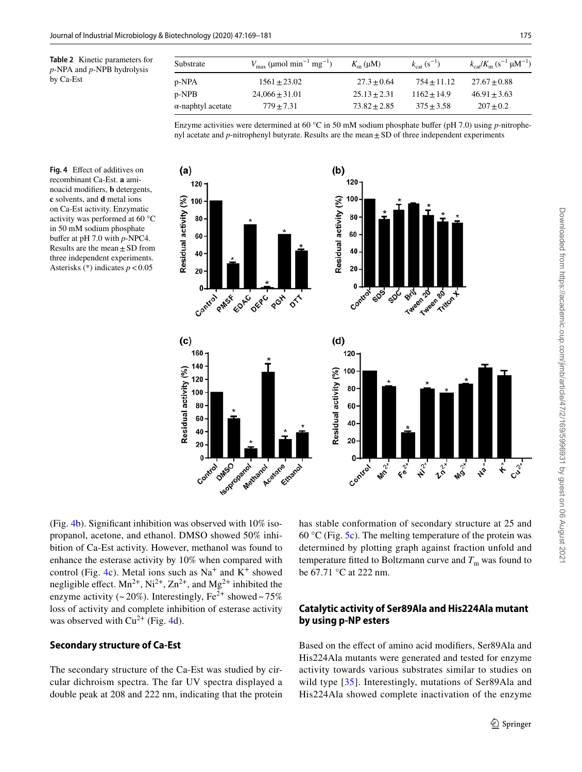<span id="page-6-0"></span>

|           | <b>Table 2</b> Kinetic parameters for |
|-----------|---------------------------------------|
|           | $p$ -NPA and $p$ -NPB hydrolysis      |
| by Ca-Est |                                       |

| Substrate         | $V_{\text{max}}$ (µmol min <sup>-1</sup> mg <sup>-1</sup> ) | $K_{\rm m}$ (µM) | $k_{\text{cat}}(s^{-1})$ | $k_{\rm cat}/K_{\rm m}$ (s <sup>-1</sup> µM <sup>-1</sup> ) |
|-------------------|-------------------------------------------------------------|------------------|--------------------------|-------------------------------------------------------------|
| p-NPA             | $1561 + 23.02$                                              | $27.3 \pm 0.64$  | $754 + 11.12$            | $27.67 + 0.88$                                              |
| p-NPB             | $24,066 \pm 31.01$                                          | $25.13 + 2.31$   | $1162 + 14.9$            | $46.91 + 3.63$                                              |
| α-naphtyl acetate | $779 + 7.31$                                                | $73.82 + 2.85$   | $375 \pm 3.58$           | $207 \pm 0.2$                                               |

Enzyme activities were determined at 60 °C in 50 mM sodium phosphate buffer (pH 7.0) using *p*-nitrophenyl acetate and *p*-nitrophenyl butyrate. Results are the mean ± SD of three independent experiments

<span id="page-6-1"></span>**Fig. 4** Effect of additives on recombinant Ca-Est. **a** aminoacid modifiers, **b** detergents, **c** solvents, and **d** metal ions on Ca-Est activity. Enzymatic activity was performed at 60 °C in 50 mM sodium phosphate buffer at pH 7.0 with *p*-NPC4. Results are the mean  $\pm$  SD from three independent experiments. Asterisks (\*) indicates *p* < 0.05



(Fig. [4b](#page-6-1)). Significant inhibition was observed with 10% isopropanol, acetone, and ethanol. DMSO showed 50% inhibition of Ca-Est activity. However, methanol was found to enhance the esterase activity by 10% when compared with control (Fig. [4](#page-6-1)c). Metal ions such as  $Na<sup>+</sup>$  and  $K<sup>+</sup>$  showed negligible effect.  $Mn^{2+}$ ,  $Ni^{2+}$ ,  $Zn^{2+}$ , and  $Mg^{2+}$  inhibited the enzyme activity (~20%). Interestingly,  $Fe^{2+}$  showed ~75% loss of activity and complete inhibition of esterase activity was observed with  $Cu^{2+}$  (Fig. [4d](#page-6-1)).

### **Secondary structure of Ca‑Est**

The secondary structure of the Ca-Est was studied by circular dichroism spectra. The far UV spectra displayed a double peak at 208 and 222 nm, indicating that the protein has stable conformation of secondary structure at 25 and 60 °C (Fig. [5](#page-7-0)c). The melting temperature of the protein was determined by plotting graph against fraction unfold and temperature fitted to Boltzmann curve and  $T<sub>m</sub>$  was found to be 67.71 °C at 222 nm.

# **Catalytic activity of Ser89Ala and His224Ala mutant by using p‑NP esters**

Based on the effect of amino acid modifiers, Ser89Ala and His224Ala mutants were generated and tested for enzyme activity towards various substrates similar to studies on wild type [[35](#page-11-23)]. Interestingly, mutations of Ser89Ala and His224Ala showed complete inactivation of the enzyme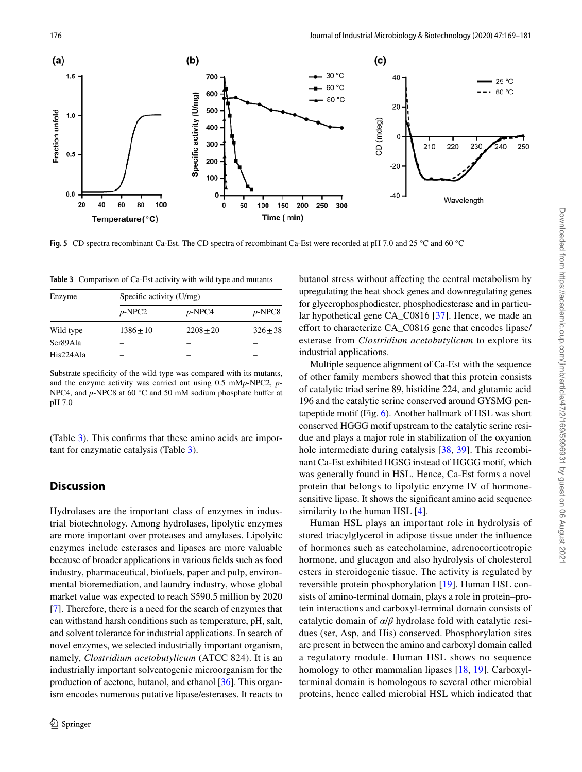

<span id="page-7-0"></span>**Fig. 5** CD spectra recombinant Ca-Est. The CD spectra of recombinant Ca-Est were recorded at pH 7.0 and 25 °C and 60 °C

<span id="page-7-1"></span>**Table 3** Comparison of Ca-Est activity with wild type and mutants

| Enzyme    | Specific activity (U/mg) |             |            |  |
|-----------|--------------------------|-------------|------------|--|
|           | $p$ -NPC2                | $p$ -NPC4   | $p$ -NPC8  |  |
| Wild type | $1386 + 10$              | $2208 + 20$ | $326 + 38$ |  |
| Ser89Ala  |                          |             |            |  |
| His224Ala |                          |             |            |  |

Substrate specificity of the wild type was compared with its mutants, and the enzyme activity was carried out using 0.5 mM*p*-NPC2, *p*-NPC4, and *p*-NPC8 at 60 °C and 50 mM sodium phosphate buffer at pH 7.0

(Table [3\)](#page-7-1). This confirms that these amino acids are important for enzymatic catalysis (Table [3](#page-7-1)).

# **Discussion**

Hydrolases are the important class of enzymes in industrial biotechnology. Among hydrolases, lipolytic enzymes are more important over proteases and amylases. Lipolyitc enzymes include esterases and lipases are more valuable because of broader applications in various fields such as food industry, pharmaceutical, biofuels, paper and pulp, environmental bioremediation, and laundry industry, whose global market value was expected to reach \$590.5 million by 2020 [\[7](#page-10-4)]. Therefore, there is a need for the search of enzymes that can withstand harsh conditions such as temperature, pH, salt, and solvent tolerance for industrial applications. In search of novel enzymes, we selected industrially important organism, namely, *Clostridium acetobutylicum* (ATCC 824). It is an industrially important solventogenic microorganism for the production of acetone, butanol, and ethanol [\[36](#page-11-24)]. This organism encodes numerous putative lipase/esterases. It reacts to

butanol stress without affecting the central metabolism by upregulating the heat shock genes and downregulating genes for glycerophosphodiester, phosphodiesterase and in particular hypothetical gene CA\_C0816 [[37\]](#page-11-25). Hence, we made an effort to characterize CA\_C0816 gene that encodes lipase/ esterase from *Clostridium acetobutylicum* to explore its industrial applications.

Multiple sequence alignment of Ca-Est with the sequence of other family members showed that this protein consists of catalytic triad serine 89, histidine 224, and glutamic acid 196 and the catalytic serine conserved around GYSMG pentapeptide motif (Fig. [6\)](#page-8-0). Another hallmark of HSL was short conserved HGGG motif upstream to the catalytic serine residue and plays a major role in stabilization of the oxyanion hole intermediate during catalysis [[38](#page-11-26), [39\]](#page-11-27). This recombinant Ca-Est exhibited HGSG instead of HGGG motif, which was generally found in HSL. Hence, Ca-Est forms a novel protein that belongs to lipolytic enzyme IV of hormonesensitive lipase. It shows the significant amino acid sequence similarity to the human HSL [\[4\]](#page-10-2).

Human HSL plays an important role in hydrolysis of stored triacylglycerol in adipose tissue under the influence of hormones such as catecholamine, adrenocorticotropic hormone, and glucagon and also hydrolysis of cholesterol esters in steroidogenic tissue. The activity is regulated by reversible protein phosphorylation [[19\]](#page-11-7). Human HSL consists of amino-terminal domain, plays a role in protein–protein interactions and carboxyl-terminal domain consists of catalytic domain of *α*/*β* hydrolase fold with catalytic residues (ser, Asp, and His) conserved. Phosphorylation sites are present in between the amino and carboxyl domain called a regulatory module. Human HSL shows no sequence homology to other mammalian lipases [\[18](#page-11-6), [19\]](#page-11-7). Carboxylterminal domain is homologous to several other microbial proteins, hence called microbial HSL which indicated that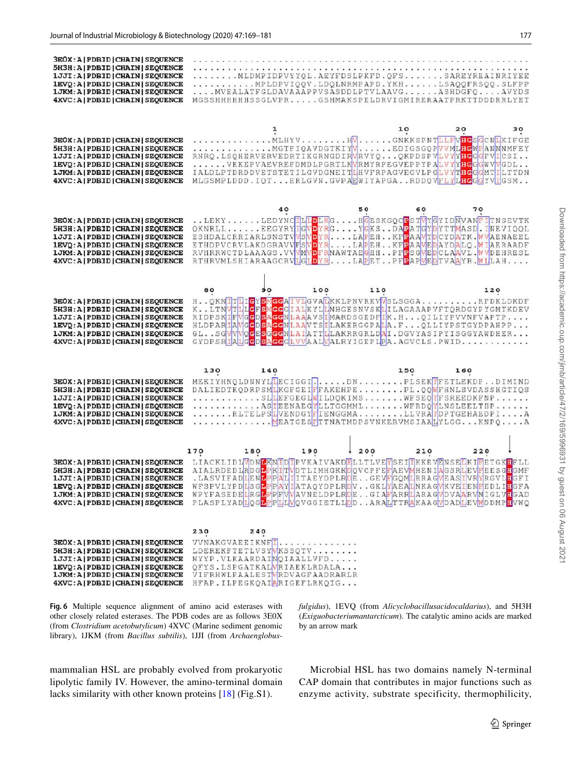| 3E0X: A   PDBID   CHAIN   SEQUENCE<br>5H3H: A   PDBID   CHAIN   SEQUENCE<br>1JJI: A   PDBID   CHAIN   SEQUENCE<br>1EVQ: A   PDBID   CHAIN   SEQUENCE<br>1 JKM: A   PDBID   CHAIN   SEQUENCE<br>4XVC: A   PDBID   CHAIN   SEQUENCE                              |                                                      |                                                                                                                                                   | structure and the second contracts and second contracts are a second contracts of a<br>MLDMPIDPVYYQL.AEYFDSLPKFD.QFSSAREYREAINRIYEE<br>MPLDPVIQQV.LDQLNRMPAPD.YKHLSAQQFRSQQ.SLFPP<br>MVEALATFGLDAVAAAPPVSASDDLPTVLAAVGASHDGFQAVYDS<br>MGSSHHHHHHSSGLVPRGSHMAKSPELDRVIGMIRERAATPRKTTDDDRRLYET                                                                                           |          |
|----------------------------------------------------------------------------------------------------------------------------------------------------------------------------------------------------------------------------------------------------------------|------------------------------------------------------|---------------------------------------------------------------------------------------------------------------------------------------------------|----------------------------------------------------------------------------------------------------------------------------------------------------------------------------------------------------------------------------------------------------------------------------------------------------------------------------------------------------------------------------------------|----------|
| 3EOX: A   PDBID   CHAIN   SEQUENCE<br>5H3H: A   PDBID   CHAIN   SEQUENCE<br>1JJI: A   PDBID   CHAIN   SEQUENCE<br>1EVQ: A   PDBID   CHAIN   SEQUENCE<br>1 JKM: A   PDBID   CHAIN   SEOUENCE<br>4XVC: A   PDBID   CHAIN   SEQUENCE                              |                                                      |                                                                                                                                                   | 10<br>MLHYVHVGNKKSPNTLLFVHGSGCNLKIFGE<br>MGTFIQAVDGTKIYVEDIGSGQPVVML <b>HGWPANNNMFEY</b><br>RNRQ.LSQHERVERVEDRTIKGRNGDIRVRVYQQKPDSPVLVYYHGGGFVICSI<br>VKKEPVAEVREFDMDLPGRTLKWRMYRPEGVEPPYPALVYYHGGGWVMGDL<br>IALDLPTDRDDVETSTETILGVDGNEITLHVFRPAGVEGVLPGLVYTHGGGMTILTTDN<br>MLGSMPLDDD.IOTERLGVN.GVPAEWIYAPGARDDOVFLYLHGGGYVIGSM                                                       | 20<br>30 |
| 3E0X: A   PDBID   CHAIN   SEQUENCE<br>5H3H: A   PDBID   CHAIN   SEQUENCE<br>1JJI: A   PDBID   CHAIN   SEQUENCE<br>1EVQ: A   PDBID   CHAIN   SEQUENCE<br>1 JKM: A   PDBID   CHAIN   SEQUENCE<br>4XVC: A   PDBID   CHAIN   SEQUENCE                              |                                                      | 40                                                                                                                                                | 60<br>50<br>LEKYLEDYNCHLLDLKGHGESKGOCPSTWYGYIDMVANFTTNSEVTK<br>QKNRLLEEGYRYIGVDYRGYGKSDAPATGYDYTTMASD.INEVIQQL<br>ESHDALCRRIARLSNSTVVSVDYRLAPEHKFPAAVYDCYDATK.WVAENAEEL<br>ETHDPVCRVLAKDGRAVVFSVDYRLAPEHKFPAAVEDAYDALQ.WIAERAADF<br>RVHRRWCTDLAAAGS.VVVMVDFRNAWTAEGHHPFPSGVEDCLAAVL.WVDEHRESL<br>RTHRVMLSHIARAAGCRVLGLDYRLAPETPFPAPWEDTVAAYR.WLLAH                                     | 70       |
| 3E0X: A   PDBID   CHAIN   SEQUENCE<br>5H3H: A   PDBID   CHAIN   SEQUENCE<br>1JJI: A   PDBID   CHAIN   SEQUENCE<br>1EVQ: A   PDBID   CHAIN   SEQUENCE<br>1 JKM: A   PDBID   CHAIN   SEQUENCE<br>4XVC: A   PDBID   CHAIN   SEQUENCE                              | 80                                                   | 100                                                                                                                                               | 110<br>H. . OKNITTIIGYSMGGAIVIGVATKKLPNVRKVVSLSGGARFDKLDKDF<br>K. . LTNVTLLGFSMGGGIALKYLLNHGESNVSKLLILAGAAAPVFTQRDGYPYGMTKDEV<br>RIDPSKIFWGGDSAGGNLAAAVSIMARDSGEDFIK.HQILIYPVVNFVAPTP<br>HLDPARIAWGGDSAGGMLAAVTSILAKERGGPALA.FQLLIYPSTGYDPAHPP<br>GLSGWVVOGESGGGMLAIATTLLAKRRGRLDAI.DGVYASIPYISGGYAWDHER<br>GYDPSRIALGCDSAGGGLVVAALVALRYIGEPLPA.AGVCLS.PWID                            | 120      |
| 3E0X: A   PDBID   CHAIN   SEQUENCE<br>5H3H: A   PDBID   CHAIN   SEQUENCE<br>1JJI: A   PDBID   CHAIN   SEQUENCE<br>1EVQ: A   PDBID   CHAIN   SEQUENCE<br>1 JKM: A   PDBID   CHAIN   SEQUENCE<br>4XVC: A   PDBID   CHAIN   SEQUENCE                              | 130                                                  | 140                                                                                                                                               | 150<br>MEKIYHNQLDNNYLLECIGGIDNPLSEKYFETLEKDPDIMIND<br>DALIEDTKODRPSMLKGFGEIFFAKEHPEPL.OOMFHNLSVDASSHGTIOS<br>SLLEFGEGLWILDOKIMSWFSEQYFSREEDKFNP<br>ASTEENAEGYLLTGGMMLWFRDQYLNSLEELTHP<br>RLTELPSLVENDGYFIENGGMALLVRAYDPTGEHAEDPIA                                                                                                                                                      | 160      |
| 3E0X: A   PDBID   CHAIN   SEQUENCE<br>5H3H: A   PDBID   CHAIN   SEQUENCE<br>1JJI: A   PDBID   CHAIN   SEQUENCE<br>1EVQ: A   PDBID   CHAIN   SEQUENCE<br>1 JKM: A   PDBID   CHAIN   SEQUENCE<br>4XVC: A   PDBID   CHAIN   SEQUENCE                              | 170<br>180<br>.LASVIFADLENLPPAL<br>WFSPVLYPDLSGLPPAY | 190                                                                                                                                               | 210<br>200<br>LIACKLIDLVDNLKNIDIPVKAIVAKDELLTLVEYSEIIKKEVENSELKIFETGKHFLL<br>AIALRDED LRD GLPKITTWD TI I MH GK KDOV CP FEFAEVMHEN IAGS RLEVFEES GLGMF<br>IITAEYDPLRDEGEVFGQMLRRAGVEASIVRYRGVL <mark>H</mark> GFI<br>IATAQYDPLRDVGKLYAEALNKAGVKVEIENFEDLIHGFA<br>WPYFASEDELRGLPPFWWAVNELDPLRDEGIAFARRLARAGWDVAARVNIGLVLGAD<br>PLASPLYADLOGLPPLLVOVGGIETLLDDARALTTRAKAAGVDADLEVWDDMPHVWQ | 220      |
| 3E0X: A   PDBID   CHAIN   SEQUENCE<br>5H3H: A   PDBID   CHAIN   SEQUENCE<br>1JJI: A   PDBID   CHAIN   SEQUENCE<br>1EVQ: A   PDBID   CHAIN   SEQUENCE<br>1 JKM: A   PDBID   CHAIN   SEQUENCE<br><b>AXVC: AIPDRIDICHAINISEOUENCE</b> HEAP ILPECKOAIARICEFLRKOIG. | 230<br>240                                           | VVNAKGVAEEIKNF <mark>I</mark><br>LDEREKFTETLVSYVKSSQTV<br>NYYP.VLKAARDAINQIAALLVFD<br>OFYS.LSPGATKALWRIAEKLRDALA<br>VIFRHWLPAALESTVRDVAGFAADRARLR |                                                                                                                                                                                                                                                                                                                                                                                        |          |

<span id="page-8-0"></span>**Fig. 6** Multiple sequence alignment of amino acid esterases with other closely related esterases. The PDB codes are as follows 3E0X (from *Clostridium acetobutylicum*) 4XVC (Marine sediment genomic library), 1JKM (from *Bacillus subtilis*), 1JJI (from *Archaenglobus-*

mammalian HSL are probably evolved from prokaryotic lipolytic family IV. However, the amino-terminal domain lacks similarity with other known proteins [\[18](#page-11-6)] (Fig.S1).

*fulgidus*), 1EVQ (from *Alicyclobacillusacidocaldarius*), and 5H3H (*Exiguobacteriumantarcticum*). The catalytic amino acids are marked by an arrow mark

Microbial HSL has two domains namely N-terminal CAP domain that contributes in major functions such as enzyme activity, substrate specificity, thermophilicity,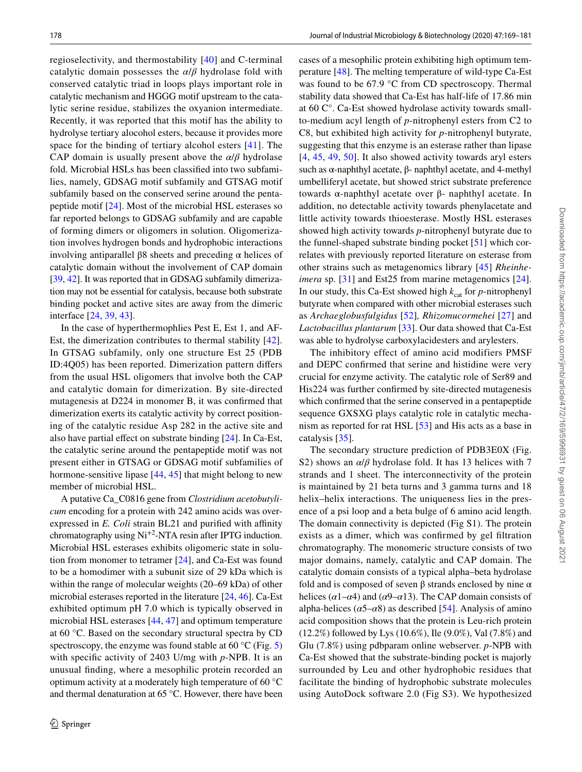regioselectivity, and thermostability [[40](#page-11-28)] and C-terminal catalytic domain possesses the *α*/*β* hydrolase fold with conserved catalytic triad in loops plays important role in catalytic mechanism and HGGG motif upstream to the catalytic serine residue, stabilizes the oxyanion intermediate. Recently, it was reported that this motif has the ability to hydrolyse tertiary alocohol esters, because it provides more space for the binding of tertiary alcohol esters [[41\]](#page-11-29). The CAP domain is usually present above the *α*/*β* hydrolase fold. Microbial HSLs has been classified into two subfamilies, namely, GDSAG motif subfamily and GTSAG motif subfamily based on the conserved serine around the pentapeptide motif [\[24](#page-11-12)]. Most of the microbial HSL esterases so far reported belongs to GDSAG subfamily and are capable of forming dimers or oligomers in solution. Oligomerization involves hydrogen bonds and hydrophobic interactions involving antiparallel β8 sheets and preceding α helices of catalytic domain without the involvement of CAP domain [\[39](#page-11-27), [42\]](#page-11-30). It was reported that in GDSAG subfamily dimerization may not be essential for catalysis, because both substrate binding pocket and active sites are away from the dimeric interface [\[24](#page-11-12), [39](#page-11-27), [43](#page-12-0)].

In the case of hyperthermophlies Pest E, Est 1, and AF-Est, the dimerization contributes to thermal stability [[42](#page-11-30)]. In GTSAG subfamily, only one structure Est 25 (PDB ID:4Q05) has been reported. Dimerization pattern differs from the usual HSL oligomers that involve both the CAP and catalytic domain for dimerization. By site-directed mutagenesis at D224 in monomer B, it was confirmed that dimerization exerts its catalytic activity by correct positioning of the catalytic residue Asp 282 in the active site and also have partial effect on substrate binding [\[24](#page-11-12)]. In Ca-Est, the catalytic serine around the pentapeptide motif was not present either in GTSAG or GDSAG motif subfamilies of hormone-sensitive lipase  $[44, 45]$  $[44, 45]$  $[44, 45]$  $[44, 45]$  that might belong to new member of microbial HSL.

A putative Ca\_C0816 gene from *Clostridium acetobutylicum* encoding for a protein with 242 amino acids was overexpressed in *E. Coli* strain BL21 and purified with affinity chromatography using  $Ni<sup>+2</sup>-NTA$  resin after IPTG induction. Microbial HSL esterases exhibits oligomeric state in solution from monomer to tetramer [\[24\]](#page-11-12), and Ca-Est was found to be a homodimer with a subunit size of 29 kDa which is within the range of molecular weights (20–69 kDa) of other microbial esterases reported in the literature [[24,](#page-11-12) [46](#page-12-3)]. Ca-Est exhibited optimum pH 7.0 which is typically observed in microbial HSL esterases [[44,](#page-12-1) [47\]](#page-12-4) and optimum temperature at 60 °C. Based on the secondary structural spectra by CD spectroscopy, the enzyme was found stable at  $60^{\circ}$ C (Fig. [5\)](#page-7-0) with specific activity of 2403 U/mg with *p*-NPB. It is an unusual finding, where a mesophilic protein recorded an optimum activity at a moderately high temperature of 60 °C and thermal denaturation at 65 °C. However, there have been cases of a mesophilic protein exhibiting high optimum temperature [[48](#page-12-5)]. The melting temperature of wild-type Ca-Est was found to be 67.9 °C from CD spectroscopy. Thermal stability data showed that Ca-Est has half-life of 17.86 min at 60 C°. Ca-Est showed hydrolase activity towards smallto-medium acyl length of *p*-nitrophenyl esters from C2 to C8, but exhibited high activity for *p*-nitrophenyl butyrate, suggesting that this enzyme is an esterase rather than lipase [[4,](#page-10-2) [45](#page-12-2), [49](#page-12-6), [50\]](#page-12-7). It also showed activity towards aryl esters such as α-naphthyl acetate, β- naphthyl acetate, and 4-methyl umbelliferyl acetate, but showed strict substrate preference towards α-naphthyl acetate over β- naphthyl acetate. In addition, no detectable activity towards phenylacetate and little activity towards thioesterase. Mostly HSL esterases showed high activity towards *p*-nitrophenyl butyrate due to the funnel-shaped substrate binding pocket [\[51](#page-12-8)] which correlates with previously reported literature on esterase from other strains such as metagenomics library [\[45\]](#page-12-2) *Rheinheimera* sp. [\[31](#page-11-19)] and Est25 from marine metagenomics [\[24](#page-11-12)]. In our study, this Ca-Est showed high  $k_{\text{cat}}$  for *p*-nitrophenyl butyrate when compared with other microbial esterases such as *Archaeglobusfulgidus* [\[52\]](#page-12-9)*, Rhizomucormehei* [[27](#page-11-15)] and *Lactobacillus plantarum* [\[33](#page-11-21)]. Our data showed that Ca-Est was able to hydrolyse carboxylacidesters and arylesters.

The inhibitory effect of amino acid modifiers PMSF and DEPC confirmed that serine and histidine were very crucial for enzyme activity. The catalytic role of Ser89 and His224 was further confirmed by site-directed mutagenesis which confirmed that the serine conserved in a pentapeptide sequence GXSXG plays catalytic role in catalytic mechanism as reported for rat HSL [[53\]](#page-12-10) and His acts as a base in catalysis [[35\]](#page-11-23).

The secondary structure prediction of PDB3E0X (Fig. S2) shows an *α*/*β* hydrolase fold. It has 13 helices with 7 strands and 1 sheet. The interconnectivity of the protein is maintained by 21 beta turns and 3 gamma turns and 18 helix–helix interactions. The uniqueness lies in the presence of a psi loop and a beta bulge of 6 amino acid length. The domain connectivity is depicted (Fig S1). The protein exists as a dimer, which was confirmed by gel filtration chromatography. The monomeric structure consists of two major domains, namely, catalytic and CAP domain. The catalytic domain consists of a typical alpha–beta hydrolase fold and is composed of seven  $\beta$  strands enclosed by nine  $\alpha$ helices ( $\alpha$ 1– $\alpha$ 4) and ( $\alpha$ 9– $\alpha$ 13). The CAP domain consists of alpha-helices ( $\alpha$ 5– $\alpha$ 8) as described [[54\]](#page-12-11). Analysis of amino acid composition shows that the protein is Leu-rich protein (12.2%) followed by Lys (10.6%), Ile (9.0%), Val (7.8%) and Glu (7.8%) using pdbparam online webserver. *p*-NPB with Ca-Est showed that the substrate-binding pocket is majorly surrounded by Leu and other hydrophobic residues that facilitate the binding of hydrophobic substrate molecules using AutoDock software 2.0 (Fig S3). We hypothesized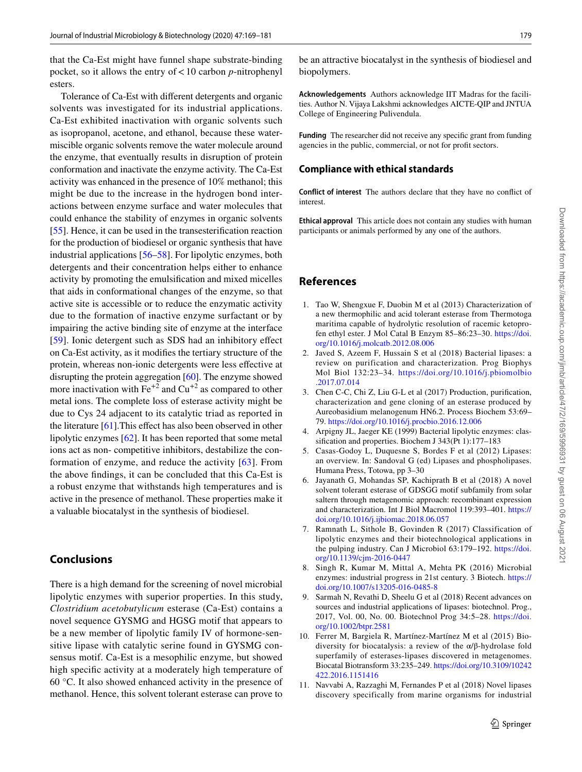that the Ca-Est might have funnel shape substrate-binding pocket, so it allows the entry of < 10 carbon *p*-nitrophenyl esters.

Tolerance of Ca-Est with different detergents and organic solvents was investigated for its industrial applications. Ca-Est exhibited inactivation with organic solvents such as isopropanol, acetone, and ethanol, because these watermiscible organic solvents remove the water molecule around the enzyme, that eventually results in disruption of protein conformation and inactivate the enzyme activity. The Ca-Est activity was enhanced in the presence of 10% methanol; this might be due to the increase in the hydrogen bond interactions between enzyme surface and water molecules that could enhance the stability of enzymes in organic solvents [\[55](#page-12-12)]. Hence, it can be used in the transesterification reaction for the production of biodiesel or organic synthesis that have industrial applications [[56–](#page-12-13)[58](#page-12-14)]. For lipolytic enzymes, both detergents and their concentration helps either to enhance activity by promoting the emulsification and mixed micelles that aids in conformational changes of the enzyme, so that active site is accessible or to reduce the enzymatic activity due to the formation of inactive enzyme surfactant or by impairing the active binding site of enzyme at the interface [\[59\]](#page-12-15). Ionic detergent such as SDS had an inhibitory effect on Ca-Est activity, as it modifies the tertiary structure of the protein, whereas non-ionic detergents were less effective at disrupting the protein aggregation [[60](#page-12-16)]. The enzyme showed more inactivation with  $\text{Fe}^{+2}$  and  $\text{Cu}^{+2}$  as compared to other metal ions. The complete loss of esterase activity might be due to Cys 24 adjacent to its catalytic triad as reported in the literature [[61\]](#page-12-17).This effect has also been observed in other lipolytic enzymes [\[62](#page-12-18)]. It has been reported that some metal ions act as non- competitive inhibitors, destabilize the conformation of enzyme, and reduce the activity [\[63\]](#page-12-19). From the above findings, it can be concluded that this Ca-Est is a robust enzyme that withstands high temperatures and is active in the presence of methanol. These properties make it a valuable biocatalyst in the synthesis of biodiesel.

# **Conclusions**

There is a high demand for the screening of novel microbial lipolytic enzymes with superior properties. In this study, *Clostridium acetobutylicum* esterase (Ca-Est) contains a novel sequence GYSMG and HGSG motif that appears to be a new member of lipolytic family IV of hormone-sensitive lipase with catalytic serine found in GYSMG consensus motif. Ca-Est is a mesophilic enzyme, but showed high specific activity at a moderately high temperature of 60 °C. It also showed enhanced activity in the presence of methanol. Hence, this solvent tolerant esterase can prove to be an attractive biocatalyst in the synthesis of biodiesel and biopolymers.

**Acknowledgements** Authors acknowledge IIT Madras for the facilities. Author N. Vijaya Lakshmi acknowledges AICTE-QIP and JNTUA College of Engineering Pulivendula.

**Funding** The researcher did not receive any specific grant from funding agencies in the public, commercial, or not for profit sectors.

### **Compliance with ethical standards**

**Conflict of interest** The authors declare that they have no conflict of interest.

**Ethical approval** This article does not contain any studies with human participants or animals performed by any one of the authors.

# **References**

- <span id="page-10-0"></span> 1. Tao W, Shengxue F, Duobin M et al (2013) Characterization of a new thermophilic and acid tolerant esterase from Thermotoga maritima capable of hydrolytic resolution of racemic ketoprofen ethyl ester. J Mol Catal B Enzym 85–86:23–30. [https ://doi.](https://doi.org/10.1016/j.molcatb.2012.08.006) org/10.1016/j.molcatb.2012.08.006
- 2. Javed S, Azeem F, Hussain S et al (2018) Bacterial lipases: a review on purification and characterization. Prog Biophys Mol Biol 132:23–34. [https ://doi.org/10.1016/j.pbiom olbio](https://doi.org/10.1016/j.pbiomolbio.2017.07.014) [.2017.07.014](https://doi.org/10.1016/j.pbiomolbio.2017.07.014)
- <span id="page-10-1"></span> 3. Chen C-C, Chi Z, Liu G-L et al (2017) Production, purification, characterization and gene cloning of an esterase produced by Aureobasidium melanogenum HN6.2. Process Biochem 53:69– 79. https://doi.org/10.1016/j.procbio.2016.12.006
- <span id="page-10-2"></span> 4. Arpigny JL, Jaeger KE (1999) Bacterial lipolytic enzymes: classification and properties. Biochem J 343(Pt 1):177–183
- 5. Casas-Godoy L, Duquesne S, Bordes F et al (2012) Lipases: an overview. In: Sandoval G (ed) Lipases and phospholipases. Humana Press, Totowa, pp 3–30
- <span id="page-10-3"></span> 6. Jayanath G, Mohandas SP, Kachiprath B et al (2018) A novel solvent tolerant esterase of GDSGG motif subfamily from solar saltern through metagenomic approach: recombinant expression and characterization. Int J Biol Macromol 119:393–401. [https ://](https://doi.org/10.1016/j.ijbiomac.2018.06.057) doi.org/10.1016/j.ijbiomac.2018.06.057
- <span id="page-10-4"></span> 7. Ramnath L, Sithole B, Govinden R (2017) Classification of lipolytic enzymes and their biotechnological applications in the pulping industry. Can J Microbiol 63:179-192. https://doi. [org/10.1139/cjm-2016-0447](https://doi.org/10.1139/cjm-2016-0447)
- 8. Singh R, Kumar M, Mittal A, Mehta PK (2016) Microbial enzymes: industrial progress in 21st century. 3 Biotech. [https ://](https://doi.org/10.1007/s13205-016-0485-8) doi.org/10.1007/s13205-016-0485-8
- 9. Sarmah N, Revathi D, Sheelu G et al (2018) Recent advances on sources and industrial applications of lipases: biotechnol. Prog., 2017, Vol. 00, No. 00. Biotechnol Prog 34:5-28. https://doi. [org/10.1002/btpr.2581](https://doi.org/10.1002/btpr.2581)
- 10. Ferrer M, Bargiela R, Martínez-Martínez M et al (2015) Biodiversity for biocatalysis: a review of the α/β-hydrolase fold superfamily of esterases-lipases discovered in metagenomes. Biocatal Biotransform 33:235–249. [https ://doi.org/10.3109/10242](https://doi.org/10.3109/10242422.2016.1151416) [422.2016.11514 16](https://doi.org/10.3109/10242422.2016.1151416)
- <span id="page-10-5"></span> 11. Navvabi A, Razzaghi M, Fernandes P et al (2018) Novel lipases discovery specifically from marine organisms for industrial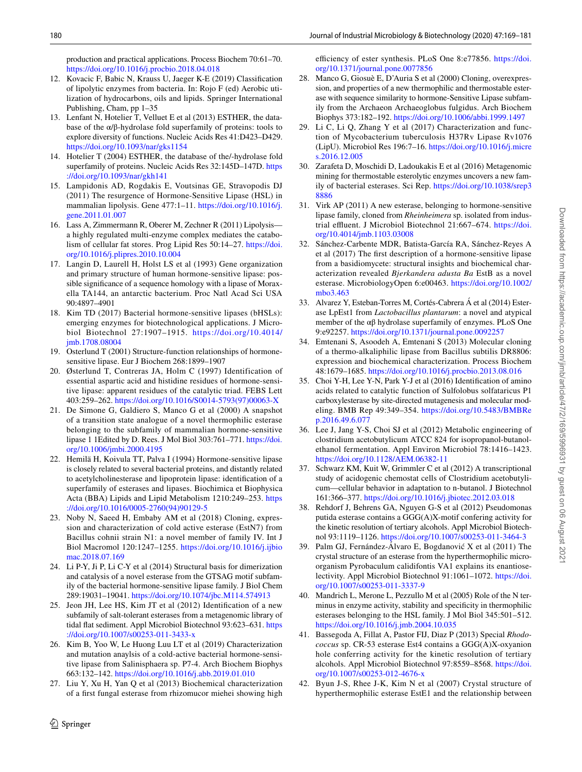production and practical applications. Process Biochem 70:61–70. https://doi.org/10.1016/j.procbio.2018.04.018

- <span id="page-11-0"></span> 12. Kovacic F, Babic N, Krauss U, Jaeger K-E (2019) Classification of lipolytic enzymes from bacteria. In: Rojo F (ed) Aerobic utilization of hydrocarbons, oils and lipids. Springer International Publishing, Cham, pp 1–35
- <span id="page-11-1"></span> 13. Lenfant N, Hotelier T, Velluet E et al (2013) ESTHER, the database of the  $\alpha/\beta$ -hydrolase fold superfamily of proteins: tools to explore diversity of functions. Nucleic Acids Res 41:D423–D429. https://doi.org/10.1093/nar/gks1154
- <span id="page-11-2"></span> 14. Hotelier T (2004) ESTHER, the database of the/-hydrolase fold superfamily of proteins. Nucleic Acids Res 32:145D–147D. [https](https://doi.org/10.1093/nar/gkh141) [://doi.org/10.1093/nar/gkh14 1](https://doi.org/10.1093/nar/gkh141)
- <span id="page-11-3"></span> 15. Lampidonis AD, Rogdakis E, Voutsinas GE, Stravopodis DJ (2011) The resurgence of Hormone-Sensitive Lipase (HSL) in mammalian lipolysis. Gene 477:1-11. https://doi.org/10.1016/j. [gene.2011.01.007](https://doi.org/10.1016/j.gene.2011.01.007)
- <span id="page-11-4"></span> 16. Lass A, Zimmermann R, Oberer M, Zechner R (2011) Lipolysis a highly regulated multi-enzyme complex mediates the catabolism of cellular fat stores. Prog Lipid Res 50:14–27. [https ://doi.](https://doi.org/10.1016/j.plipres.2010.10.004) org/10.1016/j.plipres.2010.10.004
- <span id="page-11-5"></span> 17. Langin D, Laurell H, Holst LS et al (1993) Gene organization and primary structure of human hormone-sensitive lipase: possible significance of a sequence homology with a lipase of Moraxella TA144, an antarctic bacterium. Proc Natl Acad Sci USA 90:4897–4901
- <span id="page-11-6"></span> 18. Kim TD (2017) Bacterial hormone-sensitive lipases (bHSLs): emerging enzymes for biotechnological applications. J Microbiol Biotechnol 27:1907–1915. [https ://doi.org/10.4014/](https://doi.org/10.4014/jmb.1708.08004) [jmb.1708.08004](https://doi.org/10.4014/jmb.1708.08004)
- <span id="page-11-7"></span> 19. Osterlund T (2001) Structure-function relationships of hormonesensitive lipase. Eur J Biochem 268:1899–1907
- <span id="page-11-8"></span> 20. Østerlund T, Contreras JA, Holm C (1997) Identification of essential aspartic acid and histidine residues of hormone-sensitive lipase: apparent residues of the catalytic triad. FEBS Lett 403:259–262. [https ://doi.org/10.1016/S0014 -5793\(97\)00063 -X](https://doi.org/10.1016/S0014-5793(97)00063-X)
- <span id="page-11-9"></span> 21. De Simone G, Galdiero S, Manco G et al (2000) A snapshot of a transition state analogue of a novel thermophilic esterase belonging to the subfamily of mammalian hormone-sensitive lipase 1 1Edited by D. Rees. J Mol Biol 303:761–771. [https ://doi.](https://doi.org/10.1006/jmbi.2000.4195) [org/10.1006/jmbi.2000.4195](https://doi.org/10.1006/jmbi.2000.4195)
- <span id="page-11-10"></span> 22. Hemilä H, Koivula TT, Palva I (1994) Hormone-sensitive lipase is closely related to several bacterial proteins, and distantly related to acetylcholinesterase and lipoprotein lipase: identification of a superfamily of esterases and lipases. Biochimica et Biophysica Acta (BBA) Lipids and Lipid Metabolism 1210:249–253. [https](https://doi.org/10.1016/0005-2760(94)90129-5) ://doi.org/10.1016/0005-2760(94)90129-5
- <span id="page-11-11"></span> 23. Noby N, Saeed H, Embaby AM et al (2018) Cloning, expression and characterization of cold active esterase (EstN7) from Bacillus cohnii strain N1: a novel member of family IV. Int J Biol Macromol 120:1247–1255. [https ://doi.org/10.1016/j.ijbio](https://doi.org/10.1016/j.ijbiomac.2018.07.169) [mac.2018.07.169](https://doi.org/10.1016/j.ijbiomac.2018.07.169)
- <span id="page-11-12"></span> 24. Li P-Y, Ji P, Li C-Y et al (2014) Structural basis for dimerization and catalysis of a novel esterase from the GTSAG motif subfamily of the bacterial hormone-sensitive lipase family. J Biol Chem 289:19031–19041. [https ://doi.org/10.1074/jbc.M114.57491 3](https://doi.org/10.1074/jbc.M114.574913)
- <span id="page-11-13"></span> 25. Jeon JH, Lee HS, Kim JT et al (2012) Identification of a new subfamily of salt-tolerant esterases from a metagenomic library of tidal flat sediment. Appl Microbiol Biotechnol 93:623–631. [https](https://doi.org/10.1007/s00253-011-3433-x) ://doi.org/10.1007/s00253-011-3433-x
- <span id="page-11-14"></span> 26. Kim B, Yoo W, Le Huong Luu LT et al (2019) Characterization and mutation anaylsis of a cold-active bacterial hormone-sensitive lipase from Salinisphaera sp. P7-4. Arch Biochem Biophys 663:132–142. [https ://doi.org/10.1016/j.abb.2019.01.010](https://doi.org/10.1016/j.abb.2019.01.010)
- <span id="page-11-15"></span> 27. Liu Y, Xu H, Yan Q et al (2013) Biochemical characterization of a first fungal esterase from rhizomucor miehei showing high

 $\circled{2}$  Springer

efficiency of ester synthesis. PLoS One 8:e77856. [https ://doi.](https://doi.org/10.1371/journal.pone.0077856) org/10.1371/journal.pone.0077856

- <span id="page-11-16"></span> 28. Manco G, Giosuè E, D'Auria S et al (2000) Cloning, overexpression, and properties of a new thermophilic and thermostable esterase with sequence similarity to hormone-Sensitive Lipase subfamily from the Archaeon Archaeoglobus fulgidus. Arch Biochem Biophys 373:182–192. [https ://doi.org/10.1006/abbi.1999.1497](https://doi.org/10.1006/abbi.1999.1497)
- <span id="page-11-17"></span> 29. Li C, Li Q, Zhang Y et al (2017) Characterization and function of Mycobacterium tuberculosis H37Rv Lipase Rv1076 (LipU). Microbiol Res 196:7–16. [https ://doi.org/10.1016/j.micre](https://doi.org/10.1016/j.micres.2016.12.005) [s.2016.12.005](https://doi.org/10.1016/j.micres.2016.12.005)
- <span id="page-11-18"></span> 30. Zarafeta D, Moschidi D, Ladoukakis E et al (2016) Metagenomic mining for thermostable esterolytic enzymes uncovers a new family of bacterial esterases. Sci Rep. [https ://doi.org/10.1038/srep3](https://doi.org/10.1038/srep38886) [8886](https://doi.org/10.1038/srep38886)
- <span id="page-11-19"></span> 31. Virk AP (2011) A new esterase, belonging to hormone-sensitive lipase family, cloned from *Rheinheimera* sp. isolated from industrial effluent. J Microbiol Biotechnol 21:667–674. [https ://doi.](https://doi.org/10.4014/jmb.1103.03008) [org/10.4014/jmb.1103.03008](https://doi.org/10.4014/jmb.1103.03008)
- <span id="page-11-20"></span> 32. Sánchez-Carbente MDR, Batista-García RA, Sánchez-Reyes A et al (2017) The first description of a hormone-sensitive lipase from a basidiomycete: structural insights and biochemical characterization revealed *Bjerkandera adusta Ba* EstB as a novel esterase. MicrobiologyOpen 6:e00463. [https ://doi.org/10.1002/](https://doi.org/10.1002/mbo3.463) [mbo3.463](https://doi.org/10.1002/mbo3.463)
- <span id="page-11-21"></span> 33. Alvarez Y, Esteban-Torres M, Cortés-Cabrera Á et al (2014) Esterase LpEst1 from *Lactobacillus plantarum*: a novel and atypical member of the αβ hydrolase superfamily of enzymes. PLoS One 9:e92257. https://doi.org/10.1371/journal.pone.0092257
- <span id="page-11-22"></span> 34. Emtenani S, Asoodeh A, Emtenani S (2013) Molecular cloning of a thermo-alkaliphilic lipase from Bacillus subtilis DR8806: expression and biochemical characterization. Process Biochem 48:1679-1685. https://doi.org/10.1016/j.procbio.2013.08.016
- <span id="page-11-23"></span> 35. Choi Y-H, Lee Y-N, Park Y-J et al (2016) Identification of amino acids related to catalytic function of Sulfolobus solfataricus P1 carboxylesterase by site-directed mutagenesis and molecular modeling. BMB Rep 49:349–354. [https ://doi.org/10.5483/BMBRe](https://doi.org/10.5483/BMBRep.2016.49.6.077) [p.2016.49.6.077](https://doi.org/10.5483/BMBRep.2016.49.6.077)
- <span id="page-11-24"></span> 36. Lee J, Jang Y-S, Choi SJ et al (2012) Metabolic engineering of clostridium acetobutylicum ATCC 824 for isopropanol-butanolethanol fermentation. Appl Environ Microbiol 78:1416–1423. [https ://doi.org/10.1128/AEM.06382 -11](https://doi.org/10.1128/AEM.06382-11)
- <span id="page-11-25"></span> 37. Schwarz KM, Kuit W, Grimmler C et al (2012) A transcriptional study of acidogenic chemostat cells of Clostridium acetobutylicum—cellular behavior in adaptation to n-butanol. J Biotechnol 161:366-377. https://doi.org/10.1016/j.jbiotec.2012.03.018
- <span id="page-11-26"></span> 38. Rehdorf J, Behrens GA, Nguyen G-S et al (2012) Pseudomonas putida esterase contains a GGG(A)X-motif confering activity for the kinetic resolution of tertiary alcohols. Appl Microbiol Biotechnol 93:1119-1126. https://doi.org/10.1007/s00253-011-3464-3
- <span id="page-11-27"></span> 39. Palm GJ, Fernández-Álvaro E, Bogdanović X et al (2011) The crystal structure of an esterase from the hyperthermophilic microorganism Pyrobaculum calidifontis VA1 explains its enantioselectivity. Appl Microbiol Biotechnol 91:1061–1072. [https ://doi.](https://doi.org/10.1007/s00253-011-3337-9) org/10.1007/s00253-011-3337-9
- <span id="page-11-28"></span> 40. Mandrich L, Merone L, Pezzullo M et al (2005) Role of the N terminus in enzyme activity, stability and specificity in thermophilic esterases belonging to the HSL family. J Mol Biol 345:501–512. [https ://doi.org/10.1016/j.jmb.2004.10.035](https://doi.org/10.1016/j.jmb.2004.10.035)
- <span id="page-11-29"></span> 41. Bassegoda A, Fillat A, Pastor FIJ, Diaz P (2013) Special *Rhodococcus* sp. CR-53 esterase Est4 contains a GGG(A)X-oxyanion hole conferring activity for the kinetic resolution of tertiary alcohols. Appl Microbiol Biotechnol 97:8559–8568. [https ://doi.](https://doi.org/10.1007/s00253-012-4676-x) org/10.1007/s00253-012-4676-x
- <span id="page-11-30"></span> 42. Byun J-S, Rhee J-K, Kim N et al (2007) Crystal structure of hyperthermophilic esterase EstE1 and the relationship between